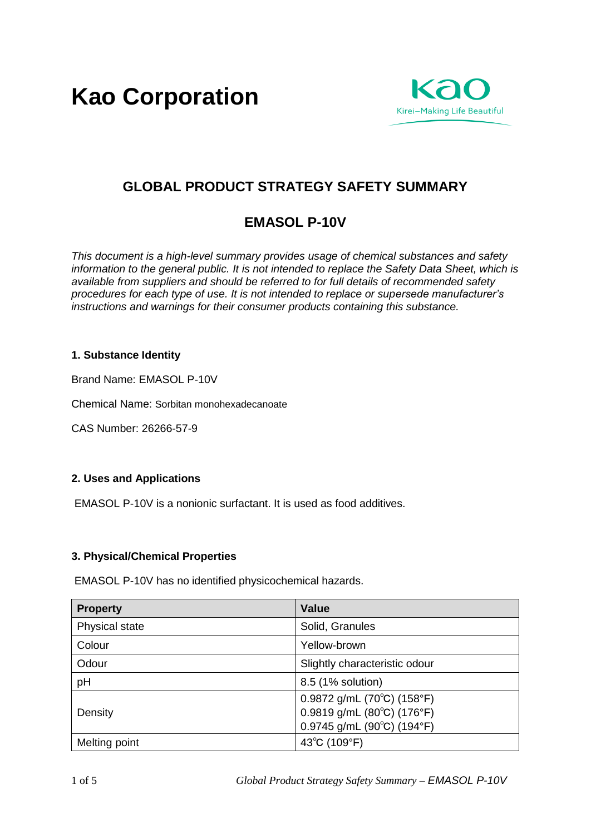**Kao Corporation**



# **GLOBAL PRODUCT STRATEGY SAFETY SUMMARY**

# **EMASOL P-10V**

*This document is a high-level summary provides usage of chemical substances and safety information to the general public. It is not intended to replace the Safety Data Sheet, which is available from suppliers and should be referred to for full details of recommended safety procedures for each type of use. It is not intended to replace or supersede manufacturer's instructions and warnings for their consumer products containing this substance.* 

# **1. Substance Identity**

Brand Name: EMASOL P-10V

Chemical Name: Sorbitan monohexadecanoate

CAS Number: 26266-57-9

# **2. Uses and Applications**

EMASOL P-10V is a nonionic surfactant. It is used as food additives.

## **3. Physical/Chemical Properties**

EMASOL P-10V has no identified physicochemical hazards.

| <b>Property</b> | <b>Value</b>                                                                                                                       |
|-----------------|------------------------------------------------------------------------------------------------------------------------------------|
| Physical state  | Solid, Granules                                                                                                                    |
| Colour          | Yellow-brown                                                                                                                       |
| Odour           | Slightly characteristic odour                                                                                                      |
| pH              | 8.5 (1% solution)                                                                                                                  |
| Density         | 0.9872 g/mL (70 $^{\circ}$ C) (158 $^{\circ}$ F)<br>0.9819 g/mL (80°C) (176°F)<br>0.9745 g/mL (90 $^{\circ}$ C) (194 $^{\circ}$ F) |
| Melting point   | 43°C (109°F)                                                                                                                       |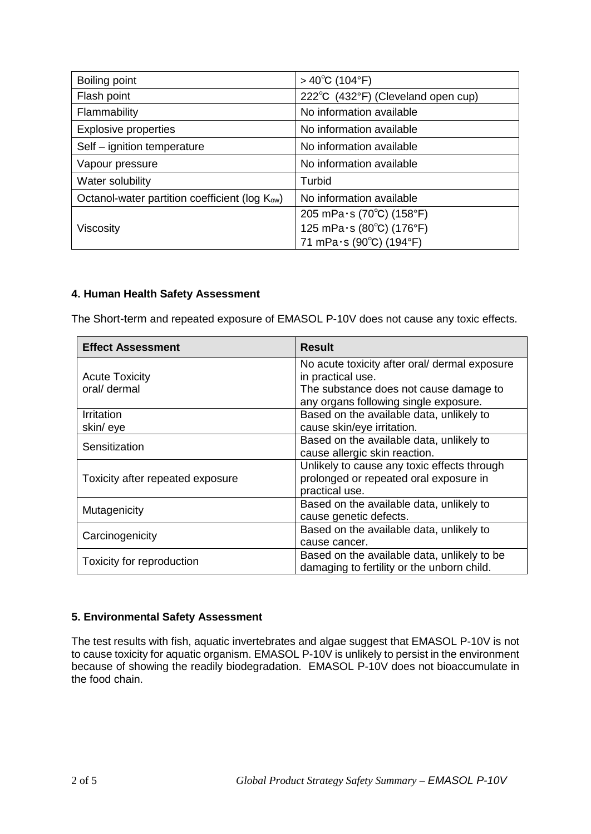| Boiling point                                              | $>40^{\circ}$ C (104 $^{\circ}$ F) |
|------------------------------------------------------------|------------------------------------|
| Flash point                                                | 222°C (432°F) (Cleveland open cup) |
| Flammability                                               | No information available           |
| <b>Explosive properties</b>                                | No information available           |
| Self - ignition temperature                                | No information available           |
| Vapour pressure                                            | No information available           |
| Water solubility                                           | Turbid                             |
| Octanol-water partition coefficient (log K <sub>ow</sub> ) | No information available           |
|                                                            | 205 mPa $\cdot$ s (70°C) (158°F)   |
| Viscosity                                                  | 125 mPa·s (80°C) (176°F)           |
|                                                            | 71 mPa·s (90°C) (194°F)            |

# **4. Human Health Safety Assessment**

The Short-term and repeated exposure of EMASOL P-10V does not cause any toxic effects.

| <b>Effect Assessment</b>         | <b>Result</b>                                 |
|----------------------------------|-----------------------------------------------|
|                                  | No acute toxicity after oral/ dermal exposure |
| <b>Acute Toxicity</b>            | in practical use.                             |
| oral/ dermal                     | The substance does not cause damage to        |
|                                  | any organs following single exposure.         |
| Irritation                       | Based on the available data, unlikely to      |
| skin/eye                         | cause skin/eye irritation.                    |
| Sensitization                    | Based on the available data, unlikely to      |
|                                  | cause allergic skin reaction.                 |
|                                  | Unlikely to cause any toxic effects through   |
| Toxicity after repeated exposure | prolonged or repeated oral exposure in        |
|                                  | practical use.                                |
| Mutagenicity                     | Based on the available data, unlikely to      |
|                                  | cause genetic defects.                        |
| Carcinogenicity                  | Based on the available data, unlikely to      |
|                                  | cause cancer.                                 |
| Toxicity for reproduction        | Based on the available data, unlikely to be   |
|                                  | damaging to fertility or the unborn child.    |

## **5. Environmental Safety Assessment**

The test results with fish, aquatic invertebrates and algae suggest that EMASOL P-10V is not to cause toxicity for aquatic organism. EMASOL P-10V is unlikely to persist in the environment because of showing the readily biodegradation. EMASOL P-10V does not bioaccumulate in the food chain.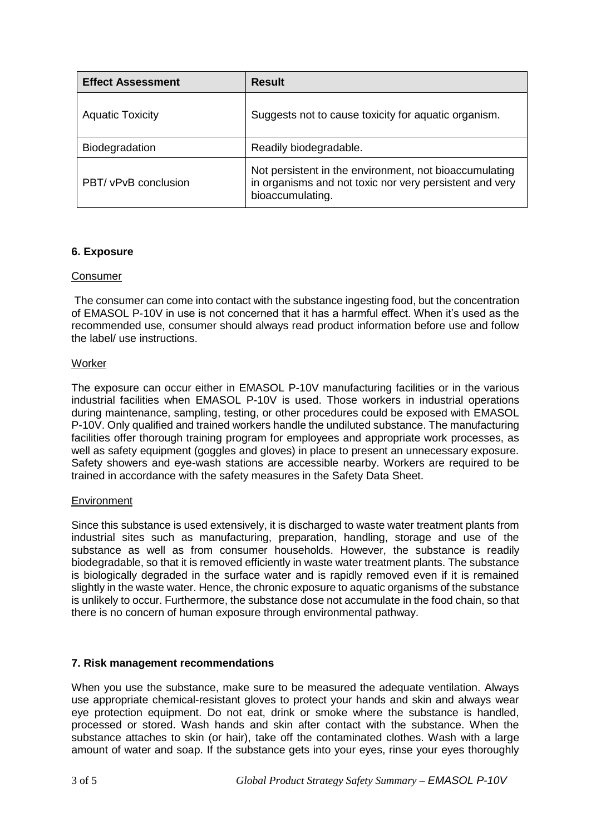| <b>Effect Assessment</b> | <b>Result</b>                                                                                                                         |
|--------------------------|---------------------------------------------------------------------------------------------------------------------------------------|
| <b>Aquatic Toxicity</b>  | Suggests not to cause toxicity for aquatic organism.                                                                                  |
| Biodegradation           | Readily biodegradable.                                                                                                                |
| PBT/ vPvB conclusion     | Not persistent in the environment, not bioaccumulating<br>in organisms and not toxic nor very persistent and very<br>bioaccumulating. |

## **6. Exposure**

## Consumer

The consumer can come into contact with the substance ingesting food, but the concentration of EMASOL P-10V in use is not concerned that it has a harmful effect. When it's used as the recommended use, consumer should always read product information before use and follow the label/ use instructions.

## **Worker**

The exposure can occur either in EMASOL P-10V manufacturing facilities or in the various industrial facilities when EMASOL P-10V is used. Those workers in industrial operations during maintenance, sampling, testing, or other procedures could be exposed with EMASOL P-10V. Only qualified and trained workers handle the undiluted substance. The manufacturing facilities offer thorough training program for employees and appropriate work processes, as well as safety equipment (goggles and gloves) in place to present an unnecessary exposure. Safety showers and eye-wash stations are accessible nearby. Workers are required to be trained in accordance with the safety measures in the Safety Data Sheet.

#### **Environment**

Since this substance is used extensively, it is discharged to waste water treatment plants from industrial sites such as manufacturing, preparation, handling, storage and use of the substance as well as from consumer households. However, the substance is readily biodegradable, so that it is removed efficiently in waste water treatment plants. The substance is biologically degraded in the surface water and is rapidly removed even if it is remained slightly in the waste water. Hence, the chronic exposure to aquatic organisms of the substance is unlikely to occur. Furthermore, the substance dose not accumulate in the food chain, so that there is no concern of human exposure through environmental pathway.

## **7. Risk management recommendations**

When you use the substance, make sure to be measured the adequate ventilation. Always use appropriate chemical-resistant gloves to protect your hands and skin and always wear eye protection equipment. Do not eat, drink or smoke where the substance is handled, processed or stored. Wash hands and skin after contact with the substance. When the substance attaches to skin (or hair), take off the contaminated clothes. Wash with a large amount of water and soap. If the substance gets into your eyes, rinse your eyes thoroughly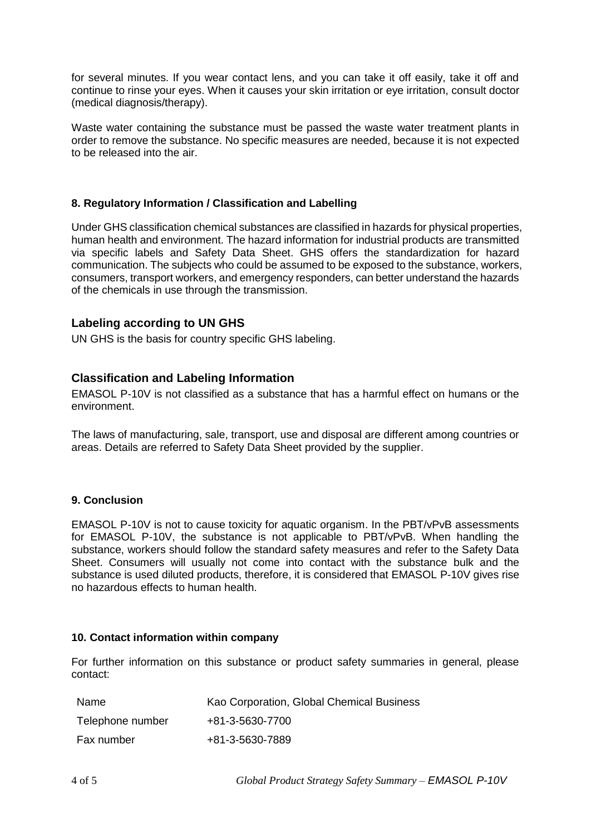for several minutes. If you wear contact lens, and you can take it off easily, take it off and continue to rinse your eyes. When it causes your skin irritation or eye irritation, consult doctor (medical diagnosis/therapy).

Waste water containing the substance must be passed the waste water treatment plants in order to remove the substance. No specific measures are needed, because it is not expected to be released into the air.

# **8. Regulatory Information / Classification and Labelling**

Under GHS classification chemical substances are classified in hazards for physical properties, human health and environment. The hazard information for industrial products are transmitted via specific labels and Safety Data Sheet. GHS offers the standardization for hazard communication. The subjects who could be assumed to be exposed to the substance, workers, consumers, transport workers, and emergency responders, can better understand the hazards of the chemicals in use through the transmission.

# **Labeling according to UN GHS**

UN GHS is the basis for country specific GHS labeling.

# **Classification and Labeling Information**

EMASOL P-10V is not classified as a substance that has a harmful effect on humans or the environment.

The laws of manufacturing, sale, transport, use and disposal are different among countries or areas. Details are referred to Safety Data Sheet provided by the supplier.

#### **9. Conclusion**

EMASOL P-10V is not to cause toxicity for aquatic organism. In the PBT/vPvB assessments for EMASOL P-10V, the substance is not applicable to PBT/vPvB. When handling the substance, workers should follow the standard safety measures and refer to the Safety Data Sheet. Consumers will usually not come into contact with the substance bulk and the substance is used diluted products, therefore, it is considered that EMASOL P-10V gives rise no hazardous effects to human health.

#### **10. Contact information within company**

For further information on this substance or product safety summaries in general, please contact:

| Name             | Kao Corporation, Global Chemical Business |
|------------------|-------------------------------------------|
| Telephone number | +81-3-5630-7700                           |
| Fax number       | +81-3-5630-7889                           |